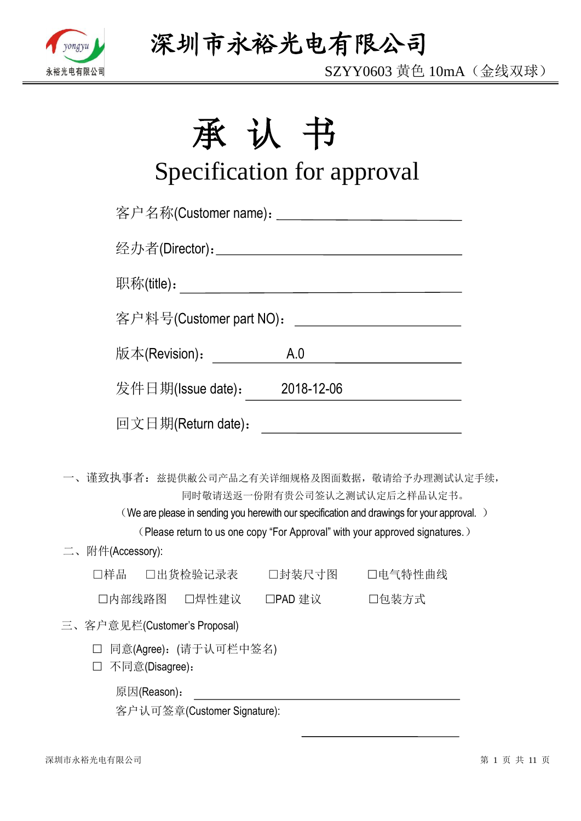

SZYY0603 黄色 10mA(金线双球)

# 承认书

# Specification for approval

| 客户名称(Customer name): ____________________________ |     |                                                                                                                                                                                                           |
|---------------------------------------------------|-----|-----------------------------------------------------------------------------------------------------------------------------------------------------------------------------------------------------------|
|                                                   |     |                                                                                                                                                                                                           |
|                                                   |     |                                                                                                                                                                                                           |
| 客户料号(Customer part NO):                           |     | <u> 1990 - Johann Barbara, martin a</u>                                                                                                                                                                   |
| 版本(Revision):                                     | A.0 | <u> 1980 - Johann Barbara, martxa a</u>                                                                                                                                                                   |
| 发件日期(Issue date): 2018-12-06                      |     |                                                                                                                                                                                                           |
| 回文日期(Return date):                                |     | <u> 1980 - Johann Barnett, fransk politik (d. 1980)</u>                                                                                                                                                   |
| 一、谨致执事者: 兹提供敝公司产品之有关详细规格及图面数据, 敬请给予办理测试认定手续,      |     | 同时敬请送返一份附有贵公司签认之测试认定后之样品认定书。<br>(We are please in sending you herewith our specification and drawings for your approval.)<br>(Please return to us one copy "For Approval" with your approved signatures.) |
| 二、附件(Accessory):                                  |     |                                                                                                                                                                                                           |
| □样品  □出货检验记录表   □封装尺寸图   □电气特性曲线                  |     |                                                                                                                                                                                                           |
| □内部线路图 □焊性建议 □PAD 建议 □ □包装方式                      |     |                                                                                                                                                                                                           |
| 三、客户意见栏(Customer's Proposal)                      |     |                                                                                                                                                                                                           |
| □ 同意(Agree): (请于认可栏中签名)<br>不同意(Disagree):         |     |                                                                                                                                                                                                           |
| 原因(Reason):                                       |     |                                                                                                                                                                                                           |

客户认可签章(Customer Signature):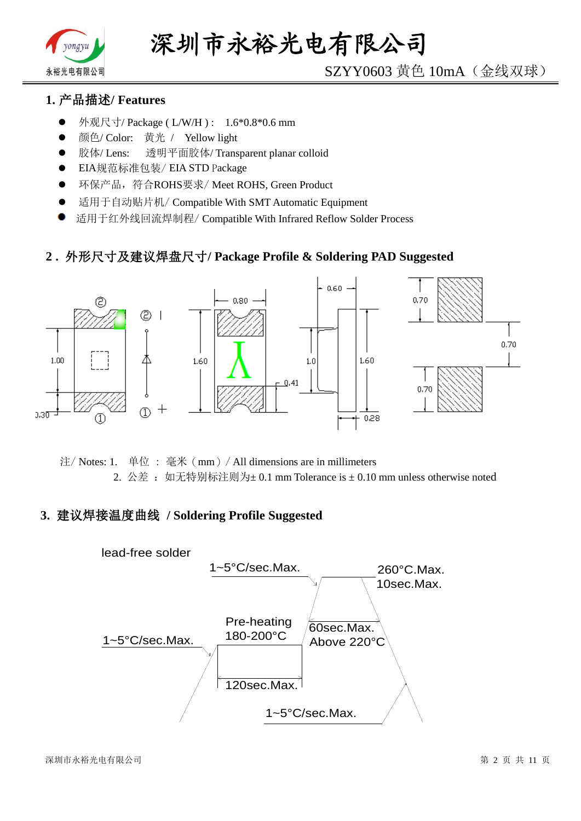

# SZYY0603 黄色 10mA(金线双球)

# **1.** 产品描述**/ Features**

- 外观尺寸/ Package ( L/W/H ) : 1.6\*0.8\*0.6 mm
- 颜色/ Color: 黄光 / Yellow light
- 胶体/ Lens: 透明平面胶体/ Transparent planar colloid
- EIA规范标准包装/ EIA STD Package
- **●** 环保产品,符合ROHS要求/Meet ROHS, Green Product
- 适用于自动贴片机/ Compatible With SMT Automatic Equipment
- 适用于红外线回流焊制程/ Compatible With Infrared Reflow Solder Process

### **2 .** 外形尺寸及建议焊盘尺寸**/ Package Profile & Soldering PAD Suggested**



注/ Notes: 1. 单位 : 毫米(mm)/ All dimensions are in millimeters 2. 公差: 如无特别标注则为±0.1 mm Tolerance is ±0.10 mm unless otherwise noted

### **3.** 建议焊接温度曲线 **/ Soldering Profile Suggested**

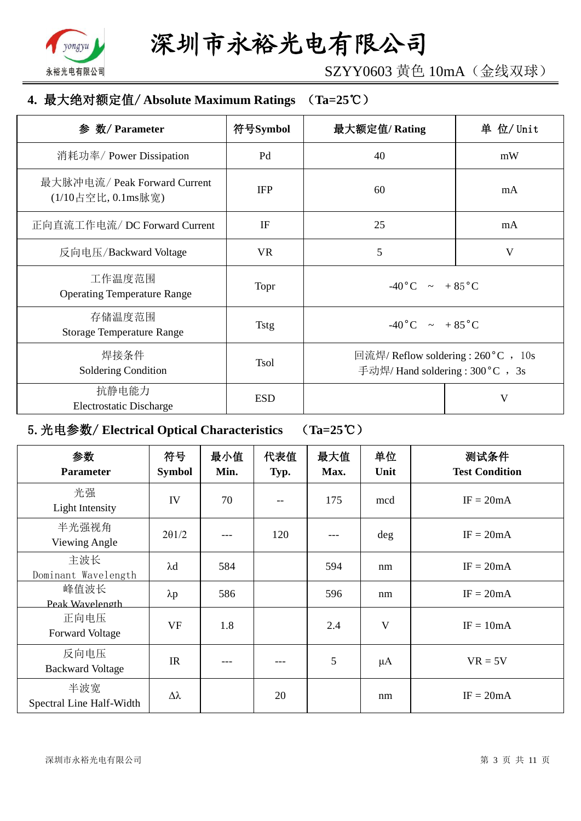

SZYY0603 黄色 10mA(金线双球)

# **4.** 最大绝对额定值/ **Absolute Maximum Ratings** (**Ta=25**℃)

| 数/ Parameter<br>参                                  | 符号Symbol    | 最大额定值/Rating                                                             | 单 位/ Unit |
|----------------------------------------------------|-------------|--------------------------------------------------------------------------|-----------|
| 消耗功率/ Power Dissipation                            | Pd          | 40                                                                       | mW        |
| 最大脉冲电流/ Peak Forward Current<br>(1/10占空比, 0.1ms脉宽) | <b>IFP</b>  | 60                                                                       | mA        |
| 正向直流工作电流/DC Forward Current                        | IF          | 25                                                                       | mA        |
| 反向电压/Backward Voltage                              | <b>VR</b>   | 5                                                                        | V         |
| 工作温度范围<br><b>Operating Temperature Range</b>       | Topr        | $-40\degree C$ ~ +85 $\degree C$                                         |           |
| 存储温度范围<br><b>Storage Temperature Range</b>         | <b>Tstg</b> | $-40\degree C$ $\sim +85\degree C$                                       |           |
| 焊接条件<br>Soldering Condition                        | <b>Tsol</b> | 回流焊/ Reflow soldering : 260 °C , 10s<br>手动焊/ Hand soldering : 300 °C, 3s |           |
| 抗静电能力<br><b>Electrostatic Discharge</b>            | <b>ESD</b>  |                                                                          | V         |

# 5.光电参数/ **Electrical Optical Characteristics** (**Ta=25**℃)

| 参数<br><b>Parameter</b>          | 符号<br><b>Symbol</b> | 最小值<br>Min. | 代表值<br>Typ. | 最大值<br>Max. | 单位<br>Unit              | 测试条件<br><b>Test Condition</b> |
|---------------------------------|---------------------|-------------|-------------|-------------|-------------------------|-------------------------------|
| 光强<br>Light Intensity           | IV                  | 70          |             | 175         | mcd                     | $IF = 20mA$                   |
| 半光强视角<br>Viewing Angle          | $2\theta$ 1/2       |             | 120         |             | $\deg$                  | $IF = 20mA$                   |
| 主波长<br>Dominant Wavelength      | $\lambda$ d         | 584         |             | 594         | nm                      | $IF = 20mA$                   |
| 峰值波长<br>Peak Wavelength         | $\lambda p$         | 586         |             | 596         | nm                      | $IF = 20mA$                   |
| 正向电压<br><b>Forward Voltage</b>  | <b>VF</b>           | 1.8         |             | 2.4         | $\overline{\mathsf{V}}$ | $IF = 10mA$                   |
| 反向电压<br><b>Backward Voltage</b> | IR                  |             |             | 5           | $\mu A$                 | $VR = 5V$                     |
| 半波宽<br>Spectral Line Half-Width | Δλ                  |             | 20          |             | nm                      | $IF = 20mA$                   |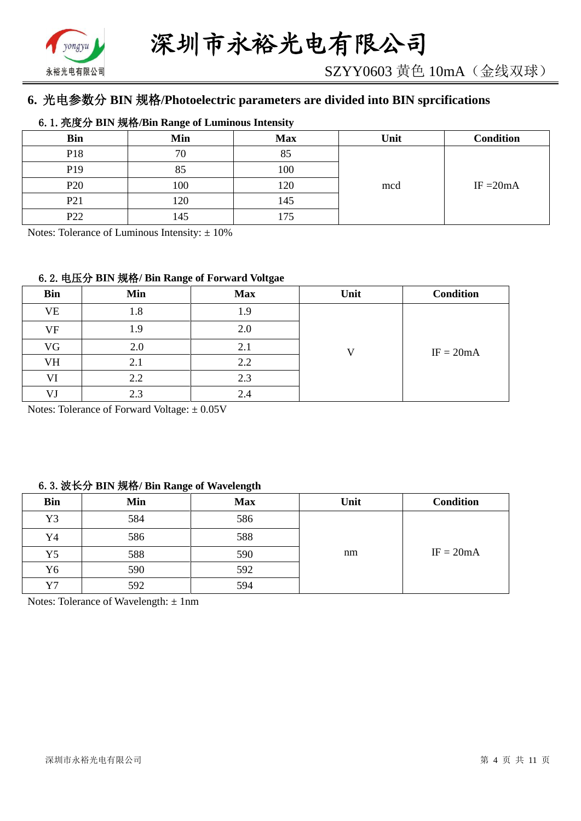

# **6.** 光电参数分 **BIN** 规格**/Photoelectric parameters are divided into BIN sprcifications**

#### 6.1.亮度分 **BIN** 规格**/Bin Range of Luminous Intensity**

| <b>Bin</b>      | Min | <b>Max</b>     | Unit | <b>Condition</b> |
|-----------------|-----|----------------|------|------------------|
| P18             | 70  | $Q \leq$<br>റാ |      |                  |
| P <sub>19</sub> | 85  | 100            |      |                  |
| P <sub>20</sub> | 100 | 120            | mcd  | IF $=20mA$       |
| P <sub>21</sub> | 120 | 145            |      |                  |
| P <sub>22</sub> | 145 | .75            |      |                  |

Notes: Tolerance of Luminous Intensity:  $\pm 10\%$ 

#### 6.2.电压分 **BIN** 规格**/ Bin Range of Forward Voltgae**

| <b>Bin</b> | Min | <b>Max</b> | Unit | <b>Condition</b> |
|------------|-----|------------|------|------------------|
| <b>VE</b>  | 1.8 | 1.9        |      |                  |
| VF         | 1.9 | 2.0        |      |                  |
| VG         | 2.0 | 2.1        | T 7  | $IF = 20mA$      |
| VH         | 2.1 | 2.2        |      |                  |
| VI         | 2.2 | 2.3        |      |                  |
| VJ         | 2.3 | 2.4        |      |                  |

Notes: Tolerance of Forward Voltage: ±0.05V

#### 6.3.波长分 **BIN** 规格**/ Bin Range of Wavelength**

| <b>Bin</b> | Min | <b>Max</b> | Unit | <b>Condition</b> |
|------------|-----|------------|------|------------------|
| Y3         | 584 | 586        |      |                  |
| Y4         | 586 | 588        |      |                  |
| Y5         | 588 | 590        | nm   | $IF = 20mA$      |
| Y6         | 590 | 592        |      |                  |
| Y7         | 592 | 594        |      |                  |

Notes: Tolerance of Wavelength: ±1nm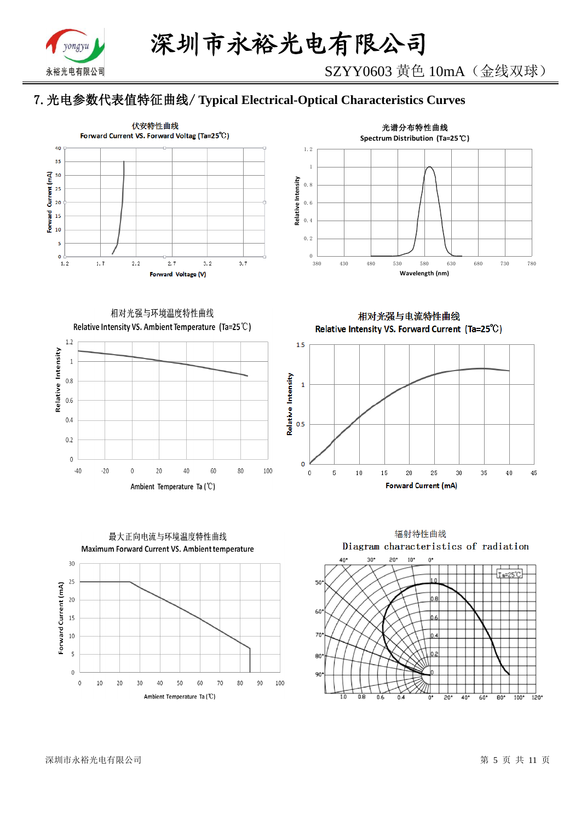

# 7.光电参数代表值特征曲线/ **Typical Electrical-Optical Characteristics Curves**





相对光强与环境温度特性曲线 Relative Intensity VS. Ambient Temperature (Ta=25°C)





80

70

90

100



相对光强与电流特性曲线

Relative Intensity VS. Forward Current (Ta=25°C)

辐射特性曲线 Diagram characteristics of radiation  $10^{\circ}$  $40^{\circ}$  $20$ <sup>\*</sup>  $\mathbf{u}^*$ วก Ta=25°C 50 60  $70$ 80 90 កាំគ  $\overline{0.6}$  $\overline{20}$  $40^{\circ}$  $60^{\circ}$  $\overline{80}$  $100*$  $\frac{1}{2}$ 0.

深圳市永裕光电有限公司 第 5 页 共 11 页

 $\,0\,$ 

 $10$ 

20

30

 $40$ 

50

Ambient Temperature Ta (°C)

60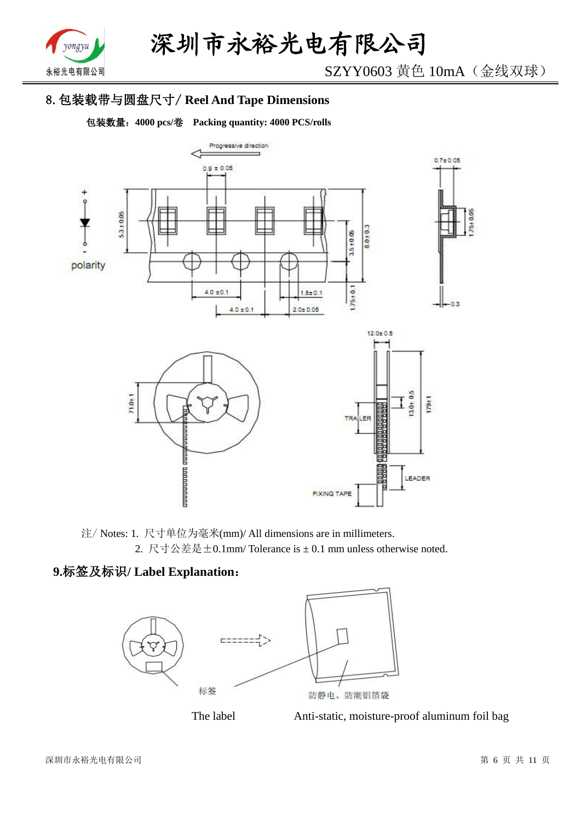

SZYY0603 黄色 10mA(金线双球)

# 8.包装载带与圆盘尺寸/ **Reel And Tape Dimensions**

包装数量:**4000 pcs/**卷 **Packing quantity: 4000 PCS/rolls**



注/ Notes: 1. 尺寸单位为毫米(mm)/ All dimensions are in millimeters. 2. 尺寸公差是±0.1mm/ Tolerance is ± 0.1 mm unless otherwise noted.

# **9.**标签及标识**/ Label Explanation**:





The label Anti-static, moisture-proof aluminum foil bag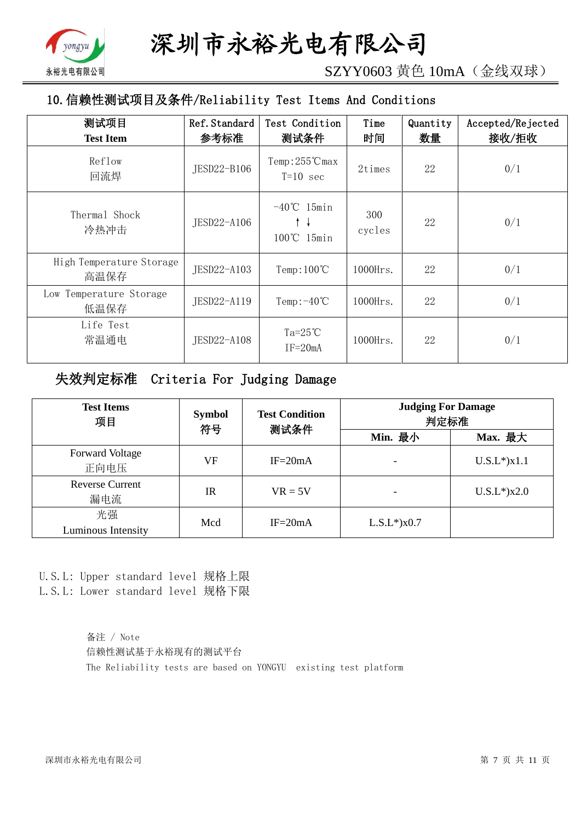

SZYY0603 黄色 10mA(金线双球)

# 10.信赖性测试项目及条件/Reliability Test Items And Conditions

| 测试项目<br><b>Test Item</b>         | Ref. Standard<br>参考标准 | Test Condition<br>测试条件                | Time<br>时间    | Quantity<br>数量 | Accepted/Rejected<br>接收/拒收 |
|----------------------------------|-----------------------|---------------------------------------|---------------|----------------|----------------------------|
| Reflow<br>回流焊                    | JESD22-B106           | $Temp:255^{\circ}C$ max<br>$T=10$ sec | 2times        | 22             | 0/1                        |
| Thermal Shock<br>冷热冲击            | JESD22-A106           | $-40^{\circ}$ C 15min<br>100℃ 15min   | 300<br>cycles | 22             | 0/1                        |
| High Temperature Storage<br>高温保存 | JESD22-A103           | Temp: $100^{\circ}$ C                 | $1000$ Hrs.   | 22             | 0/1                        |
| Low Temperature Storage<br>低温保存  | JESD22-A119           | Temp: $-40^{\circ}$ C                 | $1000$ Hrs.   | 22             | 0/1                        |
| Life Test<br>常温通电                | JESD22-A108           | Ta= $25^{\circ}$ C<br>$IF = 20mA$     | $1000$ Hrs.   | 22             | 0/1                        |

# 失效判定标准 Criteria For Judging Damage

| <b>Test Items</b><br>项目        | <b>Symbol</b><br>符号 | <b>Test Condition</b><br>测试条件 | <b>Judging For Damage</b><br>判定标准 |                    |
|--------------------------------|---------------------|-------------------------------|-----------------------------------|--------------------|
|                                |                     |                               | Min. 最小                           | Max. 最大            |
| <b>Forward Voltage</b><br>正向电压 | VF                  | $IF = 20mA$                   |                                   | $U.S.L^*$ ) $x1.1$ |
| <b>Reverse Current</b><br>漏电流  | $_{\rm IR}$         | $VR = 5V$                     |                                   | $U.S.L*$ )x2.0     |
| 光强<br>Luminous Intensity       | Mcd                 | $IF = 20mA$                   | $L.S.L*$ ) $x0.7$                 |                    |

U.S.L: Upper standard level 规格上限 L.S.L: Lower standard level 规格下限

> 备注 / Note 信赖性测试基于永裕现有的测试平台 The Reliability tests are based on YONGYU existing test platform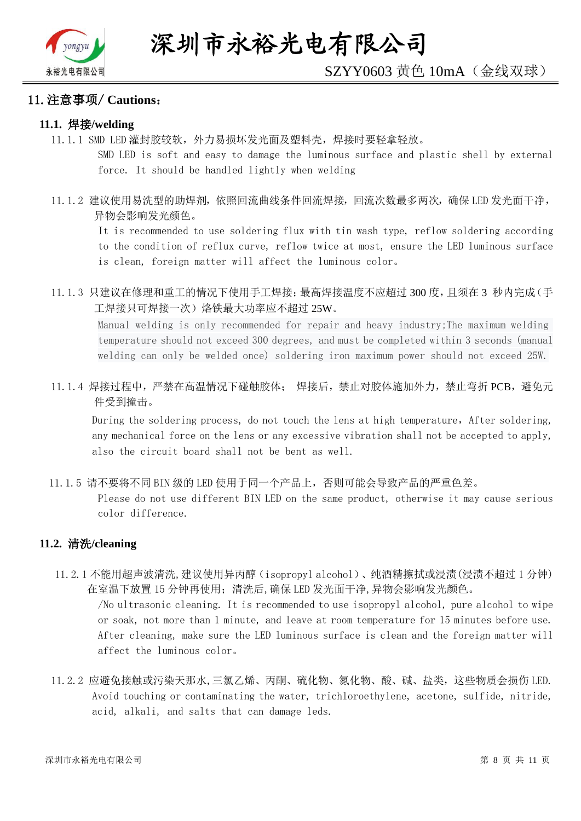

#### 11.注意事项/ **Cautions**:

#### **11.1.** 焊接**/welding**

11.1.1 SMD LED 灌封胶较软,外力易损坏发光面及塑料壳,焊接时要轻拿轻放。

SMD LED is soft and easy to damage the luminous surface and plastic shell by external force. It should be handled lightly when welding

11.1.2 建议使用易洗型的助焊剂,依照回流曲线条件回流焊接,回流次数最多两次,确保 LED 发光面干净, 异物会影响发光颜色。

It is recommended to use soldering flux with tin wash type, reflow soldering according to the condition of reflux curve, reflow twice at most, ensure the LED luminous surface is clean, foreign matter will affect the luminous color。

11.1.3 只建议在修理和重工的情况下使用手工焊接;最高焊接温度不应超过 300 度,且须在 3 秒内完成(手 工焊接只可焊接一次)烙铁最大功率应不超过 25W。

Manual welding is only recommended for repair and heavy industry;The maximum welding temperature should not exceed 300 degrees, and must be completed within 3 seconds (manual welding can only be welded once) soldering iron maximum power should not exceed 25W.

11.1.4 焊接过程中,严禁在高温情况下碰触胶体; 焊接后,禁止对胶体施加外力,禁止弯折 PCB,避免元 件受到撞击。

During the soldering process, do not touch the lens at high temperature, After soldering, any mechanical force on the lens or any excessive vibration shall not be accepted to apply, also the circuit board shall not be bent as well.

11.1.5 请不要将不同 BIN 级的 LED 使用于同一个产品上,否则可能会导致产品的严重色差。

Please do not use different BIN LED on the same product, otherwise it may cause serious color difference.

#### **11.2.** 清洗**/cleaning**

11.2.1 不能用超声波清洗,建议使用异丙醇(isopropyl alcohol)、纯酒精擦拭或浸渍(浸渍不超过 1 分钟) 在室温下放置 15 分钟再使用;清洗后,确保 LED 发光面干净,异物会影响发光颜色。

/No ultrasonic cleaning. It is recommended to use isopropyl alcohol, pure alcohol to wipe or soak, not more than 1 minute, and leave at room temperature for 15 minutes before use. After cleaning, make sure the LED luminous surface is clean and the foreign matter will affect the luminous color。

11.2.2 应避免接触或污染天那水,三氯乙烯、丙酮、硫化物、氮化物、酸、碱、盐类,这些物质会损伤 LED. Avoid touching or contaminating the water, trichloroethylene, acetone, sulfide, nitride, acid, alkali, and salts that can damage leds.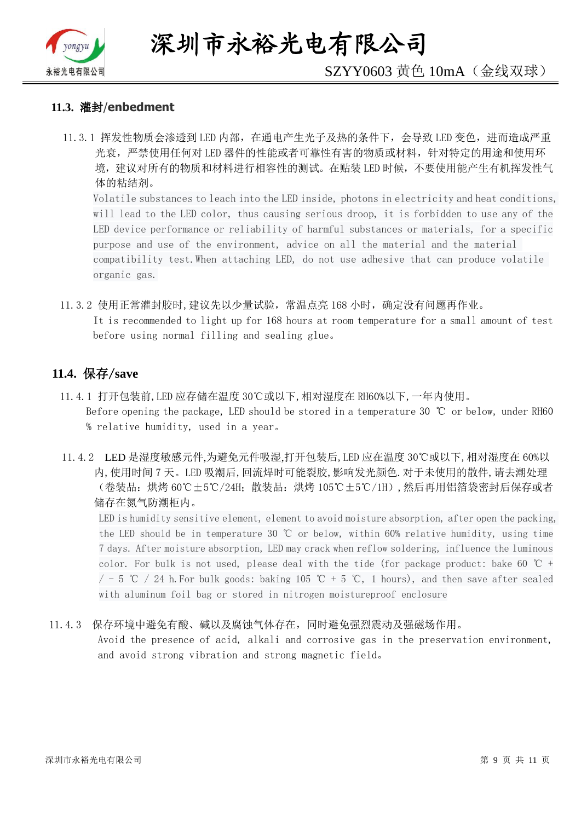

深圳市永裕光电有限公司

# SZYY0603 黄色 10mA(金线双球)

#### **11.3.** 灌封/**enbedment**

11.3.1 挥发性物质会渗透到 LED 内部, 在通电产生光子及热的条件下, 会导致 LED 变色, 进而造成严重 光衰,严禁使用任何对 LED 器件的性能或者可靠性有害的物质或材料,针对特定的用途和使用环 境,建议对所有的物质和材料进行相容性的测试。在贴装 LED 时候,不要使用能产生有机挥发性气 体的粘结剂。

Volatile substances to leach into the LED inside, photons in electricity and heat conditions, will lead to the LED color, thus causing serious droop, it is forbidden to use any of the LED device performance or reliability of harmful substances or materials, for a specific purpose and use of the environment, advice on all the material and the material compatibility test.When attaching LED, do not use adhesive that can produce volatile organic gas.

11.3.2 使用正常灌封胶时,建议先以少量试验,常温点亮 168 小时,确定没有问题再作业。 It is recommended to light up for 168 hours at room temperature for a small amount of test before using normal filling and sealing glue。

#### **11.4.** 保存/**save**

- 11.4.1 打开包装前,LED 应存储在温度 30℃或以下,相对湿度在 RH60%以下,一年内使用。 Before opening the package, LED should be stored in a temperature 30 ℃ or below, under RH60 % relative humidity, used in a year。
- 11.4.2 LED 是湿度敏感元件,为避免元件吸湿,打开包装后,LED 应在温度 30℃或以下,相对湿度在 60%以 内,使用时间 7 天。LED 吸潮后,回流焊时可能裂胶,影响发光颜色.对于未使用的散件,请去潮处理 (卷装品:烘烤 60℃±5℃/24H;散装品:烘烤 105℃±5℃/1H),然后再用铝箔袋密封后保存或者 储存在氮气防潮柜内。

LED is humidity sensitive element, element to avoid moisture absorption, after open the packing, the LED should be in temperature 30 ℃ or below, within 60% relative humidity, using time 7 days. After moisture absorption, LED may crack when reflow soldering, influence the luminous color. For bulk is not used, please deal with the tide (for package product: bake 60  $\degree$ C +  $/$  - 5 ℃ / 24 h. For bulk goods: baking 105 ℃ + 5 ℃, 1 hours), and then save after sealed with aluminum foil bag or stored in nitrogen moistureproof enclosure

#### 11.4.3 保存环境中避免有酸、碱以及腐蚀气体存在,同时避免强烈震动及强磁场作用。

Avoid the presence of acid, alkali and corrosive gas in the preservation environment, and avoid strong vibration and strong magnetic field。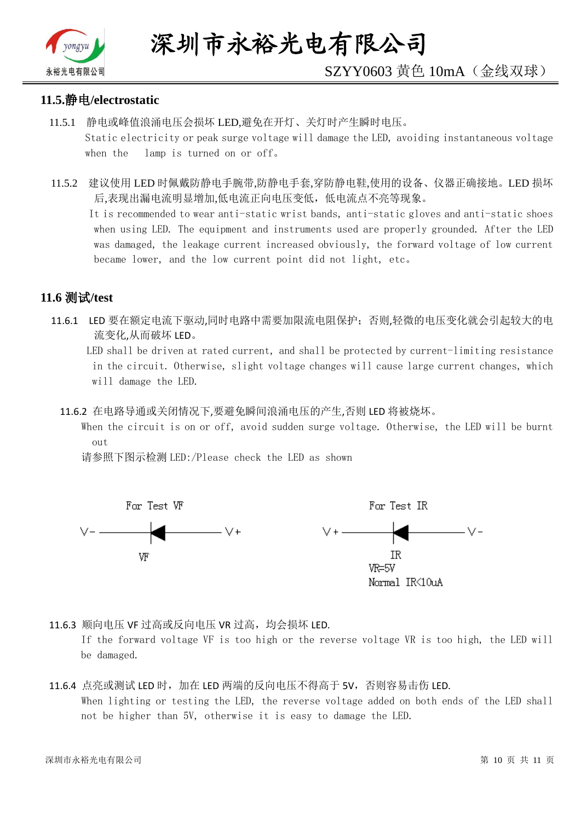

# SZYY0603 黄色 10mA(金线双球)

#### **11.5.**静电**/electrostatic**

- 11.5.1 静电或峰值浪涌电压会损坏 LED,避免在开灯、关灯时产生瞬时电压。 Static electricity or peak surge voltage will damage the LED, avoiding instantaneous voltage when the lamp is turned on or off。
- 11.5.2 建议使用 LED 时佩戴防静电手腕带,防静电手套,穿防静电鞋,使用的设备、仪器正确接地。LED 损坏 后,表现出漏电流明显增加,低电流正向电压变低,低电流点不亮等现象。

 It is recommended to wear anti-static wrist bands, anti-static gloves and anti-static shoes when using LED. The equipment and instruments used are properly grounded. After the LED was damaged, the leakage current increased obviously, the forward voltage of low current became lower, and the low current point did not light, etc。

## **11.6** 测试**/test**

11.6.1 LED 要在额定电流下驱动,同时电路中需要加限流电阻保护;否则,轻微的电压变化就会引起较大的电 流变化,从而破坏 LED。

 LED shall be driven at rated current, and shall be protected by current-limiting resistance in the circuit. Otherwise, slight voltage changes will cause large current changes, which will damage the LED.

11.6.2 在电路导通或关闭情况下,要避免瞬间浪涌电压的产生,否则 LED 将被烧坏。

 When the circuit is on or off, avoid sudden surge voltage. Otherwise, the LED will be burnt out

请参照下图示检测 LED:/Please check the LED as shown



11.6.3 顺向电压 VF 过高或反向电压 VR 过高, 均会损坏 LED.

If the forward voltage VF is too high or the reverse voltage VR is too high, the LED will be damaged.

#### 11.6.4 点亮或测试 LED 时,加在 LED 两端的反向电压不得高于 5V,否则容易击伤 LED. When lighting or testing the LED, the reverse voltage added on both ends of the LED shall not be higher than 5V, otherwise it is easy to damage the LED.